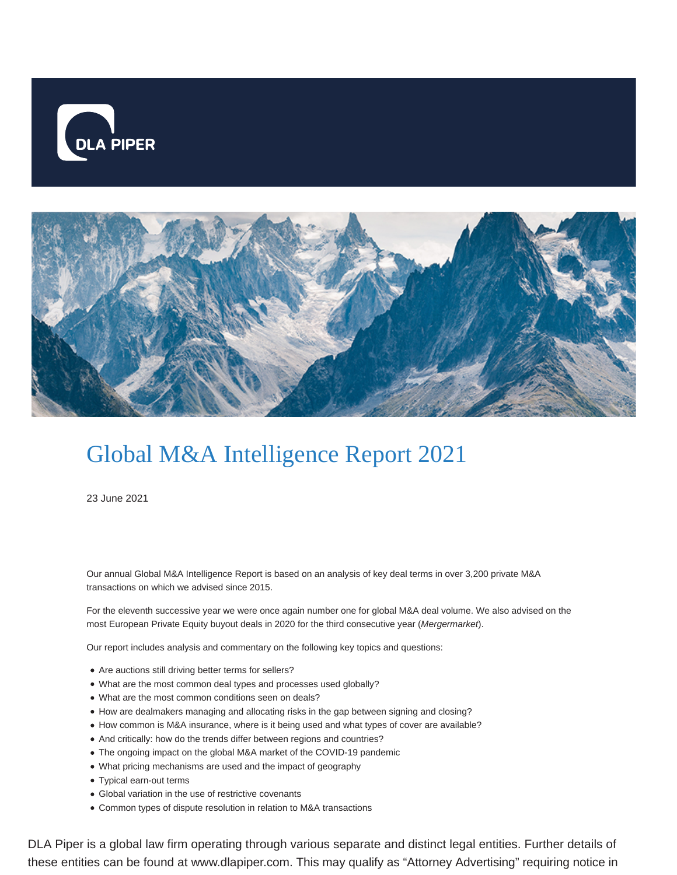



## Global M&A Intelligence Report 2021

23 June 2021

Our annual Global M&A Intelligence Report is based on an analysis of key deal terms in over 3,200 private M&A transactions on which we advised since 2015.

For the eleventh successive year we were once again number one for global M&A deal volume. We also advised on the most European Private Equity buyout deals in 2020 for the third consecutive year (Mergermarket).

Our report includes analysis and commentary on the following key topics and questions:

- Are auctions still driving better terms for sellers?
- What are the most common deal types and processes used globally?
- What are the most common conditions seen on deals?
- How are dealmakers managing and allocating risks in the gap between signing and closing?
- How common is M&A insurance, where is it being used and what types of cover are available?
- And critically: how do the trends differ between regions and countries?
- The ongoing impact on the global M&A market of the COVID-19 pandemic
- What pricing mechanisms are used and the impact of geography
- Typical earn-out terms
- Global variation in the use of restrictive covenants
- Common types of dispute resolution in relation to M&A transactions

DLA Piper is a global law firm operating through various separate and distinct legal entities. Further details of these entities can be found at www.dlapiper.com. This may qualify as "Attorney Advertising" requiring notice in